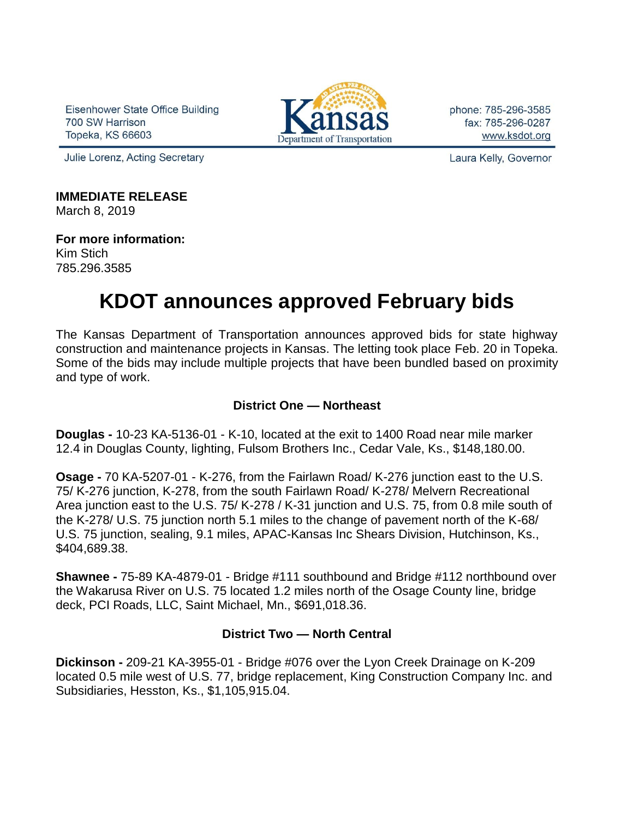Eisenhower State Office Building 700 SW Harrison Topeka, KS 66603



phone: 785-296-3585 fax: 785-296-0287 www.ksdot.org

Julie Lorenz, Acting Secretary

Laura Kelly, Governor

**IMMEDIATE RELEASE** March 8, 2019

**For more information:** Kim Stich 785.296.3585

# **KDOT announces approved February bids**

The Kansas Department of Transportation announces approved bids for state highway construction and maintenance projects in Kansas. The letting took place Feb. 20 in Topeka. Some of the bids may include multiple projects that have been bundled based on proximity and type of work.

## **District One — Northeast**

**Douglas -** 10-23 KA-5136-01 - K-10, located at the exit to 1400 Road near mile marker 12.4 in Douglas County, lighting, Fulsom Brothers Inc., Cedar Vale, Ks., \$148,180.00.

**Osage -** 70 KA-5207-01 - K-276, from the Fairlawn Road/ K-276 junction east to the U.S. 75/ K-276 junction, K-278, from the south Fairlawn Road/ K-278/ Melvern Recreational Area junction east to the U.S. 75/ K-278 / K-31 junction and U.S. 75, from 0.8 mile south of the K-278/ U.S. 75 junction north 5.1 miles to the change of pavement north of the K-68/ U.S. 75 junction, sealing, 9.1 miles, APAC-Kansas Inc Shears Division, Hutchinson, Ks., \$404,689.38.

**Shawnee -** 75-89 KA-4879-01 - Bridge #111 southbound and Bridge #112 northbound over the Wakarusa River on U.S. 75 located 1.2 miles north of the Osage County line, bridge deck, PCI Roads, LLC, Saint Michael, Mn., \$691,018.36.

### **District Two — North Central**

**Dickinson -** 209-21 KA-3955-01 - Bridge #076 over the Lyon Creek Drainage on K-209 located 0.5 mile west of U.S. 77, bridge replacement, King Construction Company Inc. and Subsidiaries, Hesston, Ks., \$1,105,915.04.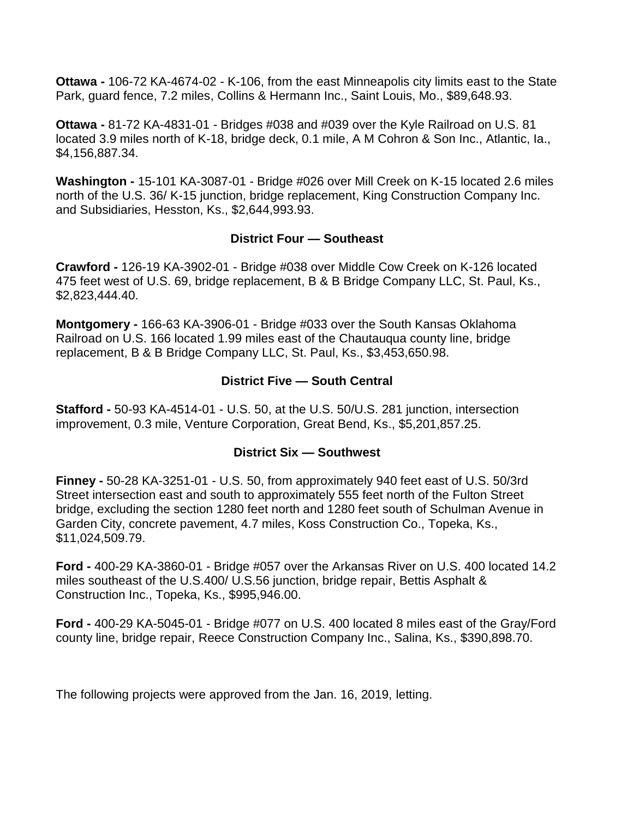**Ottawa -** 106-72 KA-4674-02 - K-106, from the east Minneapolis city limits east to the State Park, guard fence, 7.2 miles, Collins & Hermann Inc., Saint Louis, Mo., \$89,648.93.

**Ottawa -** 81-72 KA-4831-01 - Bridges #038 and #039 over the Kyle Railroad on U.S. 81 located 3.9 miles north of K-18, bridge deck, 0.1 mile, A M Cohron & Son Inc., Atlantic, Ia., \$4,156,887.34.

**Washington -** 15-101 KA-3087-01 - Bridge #026 over Mill Creek on K-15 located 2.6 miles north of the U.S. 36/ K-15 junction, bridge replacement, King Construction Company Inc. and Subsidiaries, Hesston, Ks., \$2,644,993.93.

### **District Four — Southeast**

**Crawford -** 126-19 KA-3902-01 - Bridge #038 over Middle Cow Creek on K-126 located 475 feet west of U.S. 69, bridge replacement, B & B Bridge Company LLC, St. Paul, Ks., \$2,823,444.40.

**Montgomery -** 166-63 KA-3906-01 - Bridge #033 over the South Kansas Oklahoma Railroad on U.S. 166 located 1.99 miles east of the Chautauqua county line, bridge replacement, B & B Bridge Company LLC, St. Paul, Ks., \$3,453,650.98.

# **District Five — South Central**

**Stafford -** 50-93 KA-4514-01 - U.S. 50, at the U.S. 50/U.S. 281 junction, intersection improvement, 0.3 mile, Venture Corporation, Great Bend, Ks., \$5,201,857.25.

### **District Six — Southwest**

**Finney -** 50-28 KA-3251-01 - U.S. 50, from approximately 940 feet east of U.S. 50/3rd Street intersection east and south to approximately 555 feet north of the Fulton Street bridge, excluding the section 1280 feet north and 1280 feet south of Schulman Avenue in Garden City, concrete pavement, 4.7 miles, Koss Construction Co., Topeka, Ks., \$11,024,509.79.

**Ford -** 400-29 KA-3860-01 - Bridge #057 over the Arkansas River on U.S. 400 located 14.2 miles southeast of the U.S.400/ U.S.56 junction, bridge repair, Bettis Asphalt & Construction Inc., Topeka, Ks., \$995,946.00.

**Ford -** 400-29 KA-5045-01 - Bridge #077 on U.S. 400 located 8 miles east of the Gray/Ford county line, bridge repair, Reece Construction Company Inc., Salina, Ks., \$390,898.70.

The following projects were approved from the Jan. 16, 2019, letting.